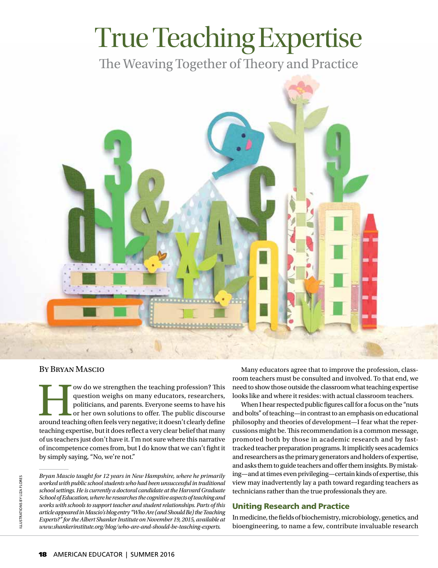# True Teaching Expertise

The Weaving Together of Theory and Practice



### By Bryan Mascio

This question weighs on many educators, researchers, politicians, and parents. Everyone seems to have his or her own solutions to offer. The public discourse around teaching often feels very negative; it doesn't clearly de question weighs on many educators, researchers, politicians, and parents. Everyone seems to have his or her own solutions to offer. The public discourse teaching expertise, but it does reflect a very clear belief that many of us teachers just don't have it. I'm not sure where this narrative of incompetence comes from, but I do know that we can't fight it by simply saying, "No, we're not."

Many educators agree that to improve the profession, classroom teachers must be consulted and involved. To that end, we need to show those outside the classroom what teaching expertise looks like and where it resides: with actual classroom teachers.

When I hear respected public figures call for a focus on the "nuts and bolts" of teaching—in contrast to an emphasis on educational philosophy and theories of development—I fear what the repercussions might be. This recommendation is a common message, promoted both by those in academic research and by fasttracked teacher preparation programs. It implicitly sees academics and researchers as the primary generators and holders of expertise, and asks them to guide teachers and offer them insights. By mistaking—and at times even privileging—certain kinds of expertise, this view may inadvertently lay a path toward regarding teachers as technicians rather than the true professionals they are.

## Uniting Research and Practice

In medicine, the fields of biochemistry, microbiology, genetics, and bioengineering, to name a few, contribute invaluable research

*Bryan Mascio taught for 12 years in New Hampshire, where he primarily worked with public school students who had been unsuccessful in traditional school settings. He is currently a doctoral candidate at the Harvard Graduate School of Education, where he researches the cognitive aspects of teaching and works with schools to support teacher and student relationships. Parts of this article appeared in Mascio's blog entry "Who Are (and Should Be) the Teaching Experts?" for the Albert Shanker Institute on November 19, 2015, available at www.shankerinstitute.org/blog/who-are-and-should-be-teaching-experts.*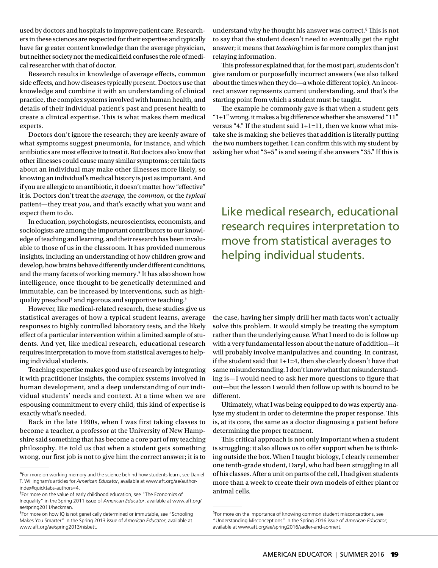used by doctors and hospitals to improve patient care. Researchers in these sciences are respected for their expertise and typically have far greater content knowledge than the average physician, but neither society nor the medical field confuses the role of medical researcher with that of doctor.

Research results in knowledge of average effects, common side effects, and how diseases typically present. Doctors use that knowledge and combine it with an understanding of clinical practice, the complex systems involved with human health, and details of their individual patient's past and present health to create a clinical expertise. This is what makes them medical experts.

Doctors don't ignore the research; they are keenly aware of what symptoms suggest pneumonia, for instance, and which antibiotics are most effective to treat it. But doctors also know that other illnesses could cause many similar symptoms; certain facts about an individual may make other illnesses more likely, so knowing an individual's medical history is just as important. And if you are allergic to an antibiotic, it doesn't matter how "effective" it is. Doctors don't treat the *average*, the *common*, or the *typical* patient—they treat *you*, and that's exactly what you want and expect them to do.

In education, psychologists, neuroscientists, economists, and sociologists are among the important contributors to our knowledge of teaching and learning, and their research has been invaluable to those of us in the classroom. It has provided numerous insights, including an understanding of how children grow and develop, how brains behave differently under different conditions, and the many facets of working memory.\* It has also shown how intelligence, once thought to be genetically determined and immutable, can be increased by interventions, such as highquality preschool† and rigorous and supportive teaching.‡

However, like medical-related research, these studies give us statistical averages of how a typical student learns, average responses to highly controlled laboratory tests, and the likely effect of a particular intervention within a limited sample of students. And yet, like medical research, educational research requires interpretation to move from statistical averages to helping individual students.

Teaching expertise makes good use of research by integrating it with practitioner insights, the complex systems involved in human development, and a deep understanding of our individual students' needs and context. At a time when we are espousing commitment to every child, this kind of expertise is exactly what's needed.

Back in the late 1990s, when I was first taking classes to become a teacher, a professor at the University of New Hampshire said something that has become a core part of my teaching philosophy. He told us that when a student gets something wrong, our first job is not to give him the correct answer; it is to

understand why he thought his answer was correct.§ This is not to say that the student doesn't need to eventually get the right answer; it means that *teaching* him is far more complex than just relaying information.

This professor explained that, for the most part, students don't give random or purposefully incorrect answers (we also talked about the times when they do—a whole different topic). An incorrect answer represents current understanding, and that's the starting point from which a student must be taught.

The example he commonly gave is that when a student gets  $"1+1"$  wrong, it makes a big difference whether she answered  $"11"$ versus "4." If the student said 1+1=11, then we know what mistake she is making; she believes that addition is literally putting the two numbers together. I can confirm this with my student by asking her what "3+5" is and seeing if she answers "35." If this is

Like medical research, educational research requires interpretation to move from statistical averages to helping individual students.

the case, having her simply drill her math facts won't actually solve this problem. It would simply be treating the symptom rather than the underlying cause. What I need to do is follow up with a very fundamental lesson about the nature of addition—it will probably involve manipulatives and counting. In contrast, if the student said that 1+1=4, then she clearly doesn't have that same misunderstanding. I don't know what that misunderstanding is—I would need to ask her more questions to figure that out—but the lesson I would then follow up with is bound to be different.

Ultimately, what I was being equipped to do was expertly analyze my student in order to determine the proper response. This is, at its core, the same as a doctor diagnosing a patient before determining the proper treatment.

This critical approach is not only important when a student is struggling; it also allows us to offer support when he is thinking outside the box. When I taught biology, I clearly remember one tenth-grade student, Daryl, who had been struggling in all of his classes. After a unit on parts of the cell, I had given students more than a week to create their own models of either plant or animal cells.

<sup>\*</sup>For more on working memory and the science behind how students learn, see Daniel T. Willingham's articles for *American Educator*, available at www.aft.org/ae/authorindex#quicktabs-authors=4.

<sup>†</sup> For more on the value of early childhood education, see "The Economics of

Inequality" in the Spring 2011 issue of *American Educator*, available at [www.aft.org/](www.aft.org/ae/spring2011/heckman) [ae/spring2011/heckman](www.aft.org/ae/spring2011/heckman).

<sup>‡</sup> For more on how IQ is not genetically determined or immutable, see "Schooling Makes You Smarter" in the Spring 2013 issue of *American Educator*, available at www.aft.org/ae/spring2013/nisbett.

<sup>§</sup> For more on the importance of knowing common student misconceptions, see "Understanding Misconceptions" in the Spring 2016 issue of *American Educator*, available at www.aft.org/ae/spring2016/sadler-and-sonnert.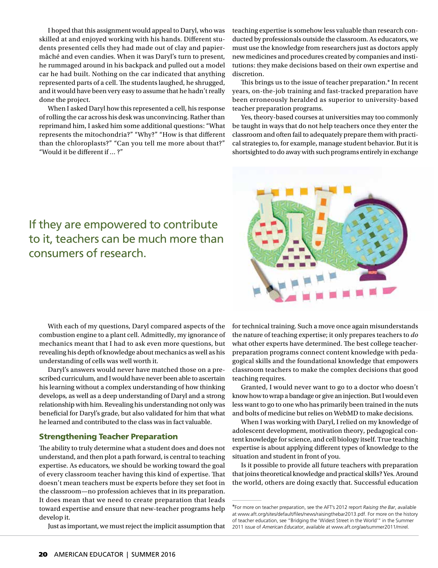I hoped that this assignment would appeal to Daryl, who was skilled at and enjoyed working with his hands. Different students presented cells they had made out of clay and papiermâché and even candies. When it was Daryl's turn to present, he rummaged around in his backpack and pulled out a model car he had built. Nothing on the car indicated that anything represented parts of a cell. The students laughed, he shrugged, and it would have been very easy to assume that he hadn't really done the project.

When I asked Daryl how this represented a cell, his response of rolling the car across his desk was unconvincing. Rather than reprimand him, I asked him some additional questions: "What represents the mitochondria?" "Why?" "How is that different than the chloroplasts?" "Can you tell me more about that?" "Would it be different if … ?"

teaching expertise is somehow less valuable than research conducted by professionals outside the classroom. As educators, we must use the knowledge from researchers just as doctors apply new medicines and procedures created by companies and institutions: they make decisions based on their own expertise and discretion.

This brings us to the issue of teacher preparation.\* In recent years, on-the-job training and fast-tracked preparation have been erroneously heralded as superior to university-based teacher preparation programs.

Yes, theory-based courses at universities may too commonly be taught in ways that do not help teachers once they enter the classroom and often fail to adequately prepare them with practical strategies to, for example, manage student behavior. But it is shortsighted to do away with such programs entirely in exchange



# If they are empowered to contribute to it, teachers can be much more than consumers of research.

With each of my questions, Daryl compared aspects of the combustion engine to a plant cell. Admittedly, my ignorance of mechanics meant that I had to ask even more questions, but revealing his depth of knowledge about mechanics as well as his understanding of cells was well worth it.

Daryl's answers would never have matched those on a prescribed curriculum, and I would have never been able to ascertain his learning without a complex understanding of how thinking develops, as well as a deep understanding of Daryl and a strong relationship with him. Revealing his understanding not only was beneficial for Daryl's grade, but also validated for him that what he learned and contributed to the class was in fact valuable.

### Strengthening Teacher Preparation

The ability to truly determine what a student does and does not understand, and then plot a path forward, is central to teaching expertise. As educators, we should be working toward the goal of every classroom teacher having this kind of expertise. That doesn't mean teachers must be experts before they set foot in the classroom—no profession achieves that in its preparation. It does mean that we need to create preparation that leads toward expertise and ensure that new-teacher programs help develop it.

Just as important, we must reject the implicit assumption that

for technical training. Such a move once again misunderstands the nature of teaching expertise; it only prepares teachers to *do* what other experts have determined. The best college teacherpreparation programs connect content knowledge with pedagogical skills and the foundational knowledge that empowers classroom teachers to make the complex decisions that good teaching requires.

Granted, I would never want to go to a doctor who doesn't know how to wrap a bandage or give an injection. But I would even less want to go to one who has primarily been trained in the nuts and bolts of medicine but relies on WebMD to make decisions.

When I was working with Daryl, I relied on my knowledge of adolescent development, motivation theory, pedagogical content knowledge for science, and cell biology itself. True teaching expertise is about applying different types of knowledge to the situation and student in front of you.

Is it possible to provide all future teachers with preparation that joins theoretical knowledge and practical skills? Yes. Around the world, others are doing exactly that. Successful education

<sup>\*</sup>For more on teacher preparation, see the AFT's 2012 report *Raising the Bar*, available at www.aft.org/sites/default/files/news/raisingthebar2013.pdf. For more on the history of teacher education, see "Bridging the 'Widest Street in the World'" in the Summer 2011 issue of *American Educator*, available at www.aft.org/ae/summer2011/mirel.